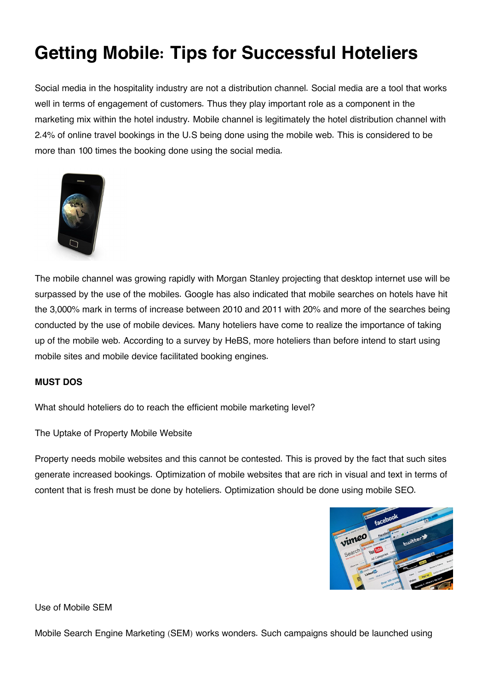# **Getting Mobile: Tips for Successful Hoteliers**

Social media in the hospitality industry are not a distribution channel. Social media are a tool that works well in terms of engagement of customers. Thus they play important role as a component in the marketing mix within the hotel industry. Mobile channel is legitimately the hotel distribution channel with 2.4% of online travel bookings in the U.S being done using the mobile web. This is considered to be more than 100 times the booking done using the social media.



The mobile channel was growing rapidly with Morgan Stanley projecting that desktop internet use will be surpassed by the use of the mobiles. Google has also indicated that mobile searches on hotels have hit the 3,000% mark in terms of increase between 2010 and 2011 with 20% and more of the searches being conducted by the use of mobile devices. Many hoteliers have come to realize the importance of taking up of the mobile web. According to a survey by HeBS, more hoteliers than before intend to start using mobile sites and mobile device facilitated booking engines.

# **MUST DOS**

What should hoteliers do to reach the efficient mobile marketing level?

The Uptake of Property Mobile Website

Property needs mobile websites and this cannot be contested. This is proved by the fact that such sites generate increased bookings. Optimization of mobile websites that are rich in visual and text in terms of content that is fresh must be done by hoteliers. Optimization should be done using mobile SEO.



Use of Mobile SEM

Mobile Search Engine Marketing (SEM) works wonders. Such campaigns should be launched using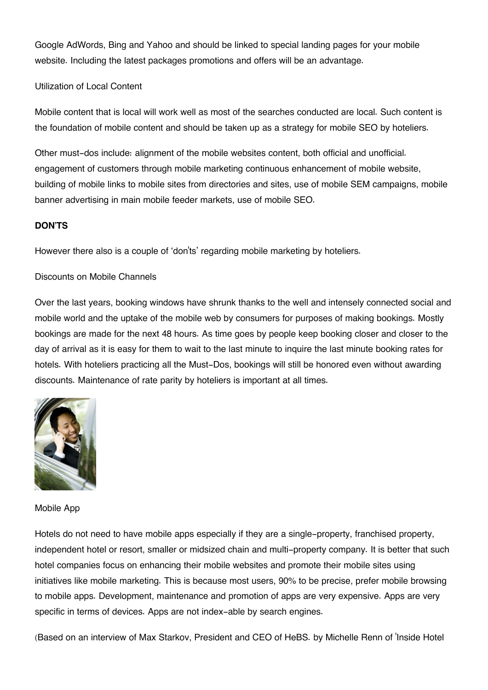Google AdWords, Bing and Yahoo and should be linked to special landing pages for your mobile website. Including the latest packages promotions and offers will be an advantage.

# Utilization of Local Content

Mobile content that is local will work well as most of the searches conducted are local. Such content is the foundation of mobile content and should be taken up as a strategy for mobile SEO by hoteliers.

Other must-dos include: alignment of the mobile websites content, both official and unofficial. engagement of customers through mobile marketing continuous enhancement of mobile website, building of mobile links to mobile sites from directories and sites, use of mobile SEM campaigns, mobile banner advertising in main mobile feeder markets, use of mobile SEO.

# **DON'TS**

However there also is a couple of 'don'ts' regarding mobile marketing by hoteliers.

# Discounts on Mobile Channels

Over the last years, booking windows have shrunk thanks to the well and intensely connected social and mobile world and the uptake of the mobile web by consumers for purposes of making bookings. Mostly bookings are made for the next 48 hours. As time goes by people keep booking closer and closer to the day of arrival as it is easy for them to wait to the last minute to inquire the last minute booking rates for hotels. With hoteliers practicing all the Must-Dos, bookings will still be honored even without awarding discounts. Maintenance of rate parity by hoteliers is important at all times.



Mobile App

Hotels do not need to have mobile apps especially if they are a single-property, franchised property, independent hotel or resort, smaller or midsized chain and multi-property company. It is better that such hotel companies focus on enhancing their mobile websites and promote their mobile sites using initiatives like mobile marketing. This is because most users, 90% to be precise, prefer mobile browsing to mobile apps. Development, maintenance and promotion of apps are very expensive. Apps are very specific in terms of devices. Apps are not index-able by search engines.

(Based on an interview of Max Starkov, President and CEO of HeBS. by Michelle Renn of 'Inside Hotel